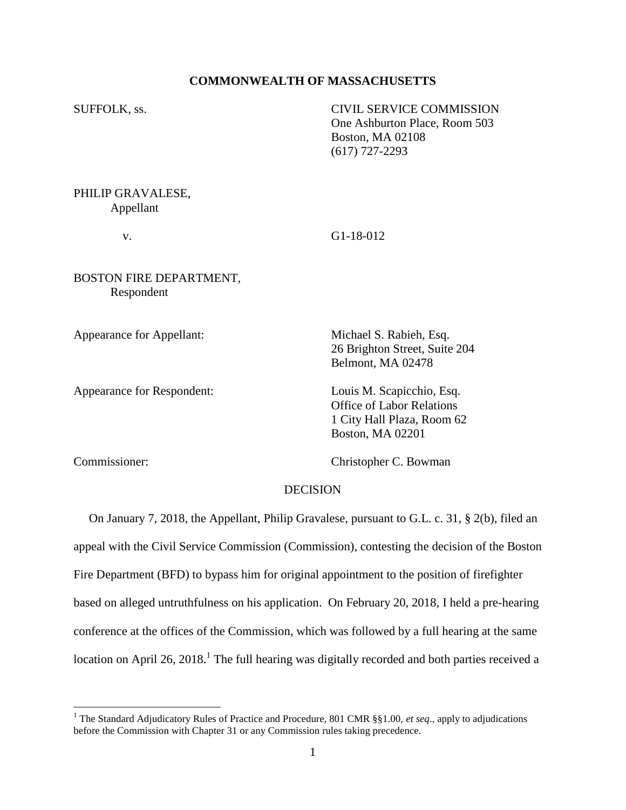# **COMMONWEALTH OF MASSACHUSETTS**

SUFFOLK, ss. CIVIL SERVICE COMMISSION One Ashburton Place, Room 503 Boston, MA 02108 (617) 727-2293

PHILIP GRAVALESE, Appellant

v. G1-18-012

BOSTON FIRE DEPARTMENT, Respondent

Appearance for Appellant: Michael S. Rabieh, Esq.

Appearance for Respondent: Louis M. Scapicchio, Esq.

26 Brighton Street, Suite 204 Belmont, MA 02478

Office of Labor Relations 1 City Hall Plaza, Room 62 Boston, MA 02201

 $\overline{a}$ 

Commissioner: Christopher C. Bowman

## DECISION

 On January 7, 2018, the Appellant, Philip Gravalese, pursuant to G.L. c. 31, § 2(b), filed an appeal with the Civil Service Commission (Commission), contesting the decision of the Boston Fire Department (BFD) to bypass him for original appointment to the position of firefighter based on alleged untruthfulness on his application. On February 20, 2018, I held a pre-hearing conference at the offices of the Commission, which was followed by a full hearing at the same location on April 26, 2018.<sup>1</sup> The full hearing was digitally recorded and both parties received a

<sup>1</sup> The Standard Adjudicatory Rules of Practice and Procedure, 801 CMR §§1.00, *et seq*., apply to adjudications before the Commission with Chapter 31 or any Commission rules taking precedence.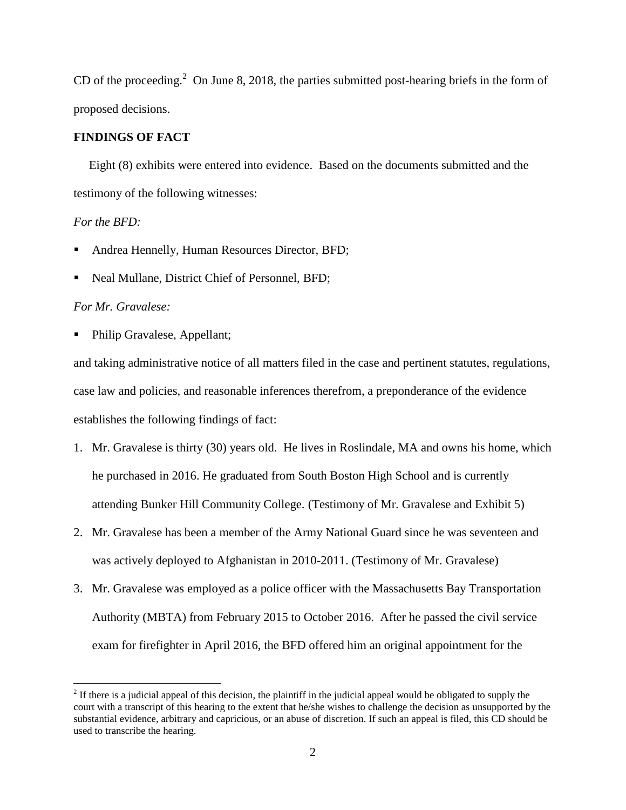CD of the proceeding.<sup>2</sup> On June 8, 2018, the parties submitted post-hearing briefs in the form of proposed decisions.

## **FINDINGS OF FACT**

 Eight (8) exhibits were entered into evidence. Based on the documents submitted and the testimony of the following witnesses:

# *For the BFD:*

- Andrea Hennelly, Human Resources Director, BFD;
- Neal Mullane, District Chief of Personnel, BFD;

## *For Mr. Gravalese:*

 $\overline{a}$ 

Philip Gravalese, Appellant;

and taking administrative notice of all matters filed in the case and pertinent statutes, regulations, case law and policies, and reasonable inferences therefrom, a preponderance of the evidence establishes the following findings of fact:

- 1. Mr. Gravalese is thirty (30) years old. He lives in Roslindale, MA and owns his home, which he purchased in 2016. He graduated from South Boston High School and is currently attending Bunker Hill Community College. (Testimony of Mr. Gravalese and Exhibit 5)
- 2. Mr. Gravalese has been a member of the Army National Guard since he was seventeen and was actively deployed to Afghanistan in 2010-2011. (Testimony of Mr. Gravalese)
- 3. Mr. Gravalese was employed as a police officer with the Massachusetts Bay Transportation Authority (MBTA) from February 2015 to October 2016. After he passed the civil service exam for firefighter in April 2016, the BFD offered him an original appointment for the

 $2<sup>2</sup>$  If there is a judicial appeal of this decision, the plaintiff in the judicial appeal would be obligated to supply the court with a transcript of this hearing to the extent that he/she wishes to challenge the decision as unsupported by the substantial evidence, arbitrary and capricious, or an abuse of discretion. If such an appeal is filed, this CD should be used to transcribe the hearing.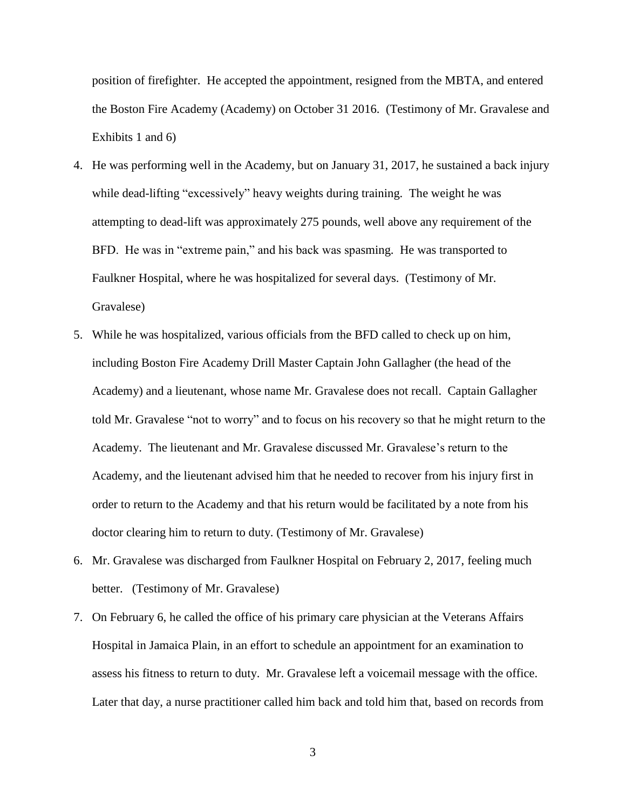position of firefighter. He accepted the appointment, resigned from the MBTA, and entered the Boston Fire Academy (Academy) on October 31 2016. (Testimony of Mr. Gravalese and Exhibits 1 and 6)

- 4. He was performing well in the Academy, but on January 31, 2017, he sustained a back injury while dead-lifting "excessively" heavy weights during training. The weight he was attempting to dead-lift was approximately 275 pounds, well above any requirement of the BFD. He was in "extreme pain," and his back was spasming. He was transported to Faulkner Hospital, where he was hospitalized for several days. (Testimony of Mr. Gravalese)
- 5. While he was hospitalized, various officials from the BFD called to check up on him, including Boston Fire Academy Drill Master Captain John Gallagher (the head of the Academy) and a lieutenant, whose name Mr. Gravalese does not recall. Captain Gallagher told Mr. Gravalese "not to worry" and to focus on his recovery so that he might return to the Academy. The lieutenant and Mr. Gravalese discussed Mr. Gravalese's return to the Academy, and the lieutenant advised him that he needed to recover from his injury first in order to return to the Academy and that his return would be facilitated by a note from his doctor clearing him to return to duty. (Testimony of Mr. Gravalese)
- 6. Mr. Gravalese was discharged from Faulkner Hospital on February 2, 2017, feeling much better. (Testimony of Mr. Gravalese)
- 7. On February 6, he called the office of his primary care physician at the Veterans Affairs Hospital in Jamaica Plain, in an effort to schedule an appointment for an examination to assess his fitness to return to duty. Mr. Gravalese left a voicemail message with the office. Later that day, a nurse practitioner called him back and told him that, based on records from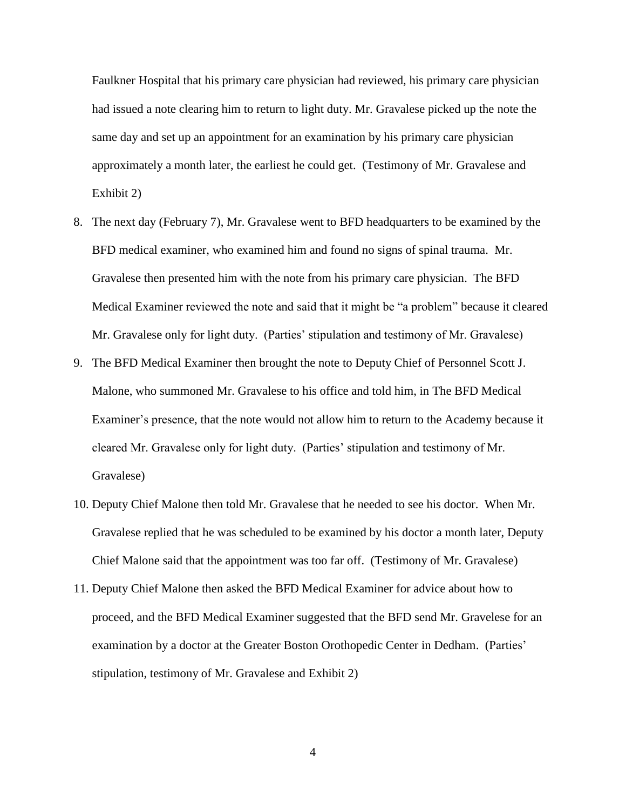Faulkner Hospital that his primary care physician had reviewed, his primary care physician had issued a note clearing him to return to light duty. Mr. Gravalese picked up the note the same day and set up an appointment for an examination by his primary care physician approximately a month later, the earliest he could get. (Testimony of Mr. Gravalese and Exhibit 2)

- 8. The next day (February 7), Mr. Gravalese went to BFD headquarters to be examined by the BFD medical examiner, who examined him and found no signs of spinal trauma. Mr. Gravalese then presented him with the note from his primary care physician. The BFD Medical Examiner reviewed the note and said that it might be "a problem" because it cleared Mr. Gravalese only for light duty. (Parties' stipulation and testimony of Mr. Gravalese)
- 9. The BFD Medical Examiner then brought the note to Deputy Chief of Personnel Scott J. Malone, who summoned Mr. Gravalese to his office and told him, in The BFD Medical Examiner's presence, that the note would not allow him to return to the Academy because it cleared Mr. Gravalese only for light duty. (Parties' stipulation and testimony of Mr. Gravalese)
- 10. Deputy Chief Malone then told Mr. Gravalese that he needed to see his doctor. When Mr. Gravalese replied that he was scheduled to be examined by his doctor a month later, Deputy Chief Malone said that the appointment was too far off. (Testimony of Mr. Gravalese)
- 11. Deputy Chief Malone then asked the BFD Medical Examiner for advice about how to proceed, and the BFD Medical Examiner suggested that the BFD send Mr. Gravelese for an examination by a doctor at the Greater Boston Orothopedic Center in Dedham. (Parties' stipulation, testimony of Mr. Gravalese and Exhibit 2)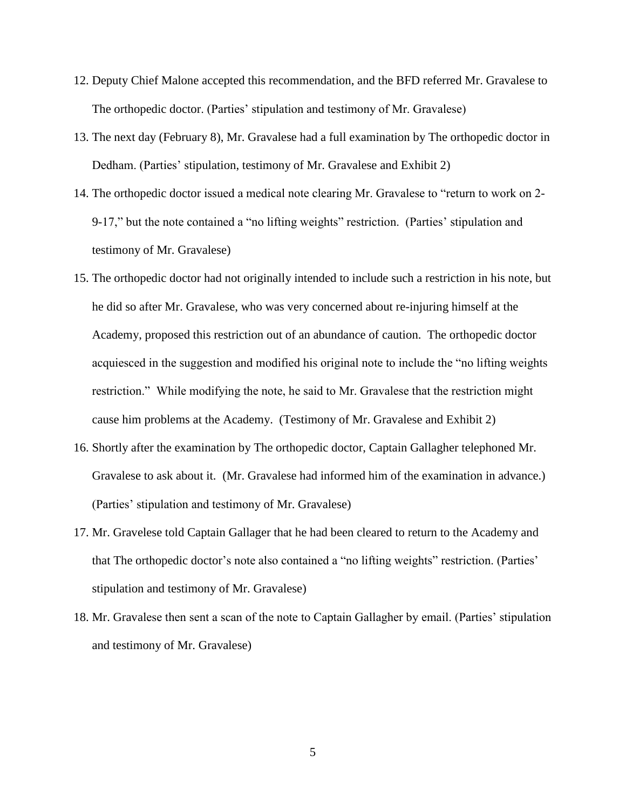- 12. Deputy Chief Malone accepted this recommendation, and the BFD referred Mr. Gravalese to The orthopedic doctor. (Parties' stipulation and testimony of Mr. Gravalese)
- 13. The next day (February 8), Mr. Gravalese had a full examination by The orthopedic doctor in Dedham. (Parties' stipulation, testimony of Mr. Gravalese and Exhibit 2)
- 14. The orthopedic doctor issued a medical note clearing Mr. Gravalese to "return to work on 2- 9-17," but the note contained a "no lifting weights" restriction. (Parties' stipulation and testimony of Mr. Gravalese)
- 15. The orthopedic doctor had not originally intended to include such a restriction in his note, but he did so after Mr. Gravalese, who was very concerned about re-injuring himself at the Academy, proposed this restriction out of an abundance of caution. The orthopedic doctor acquiesced in the suggestion and modified his original note to include the "no lifting weights restriction." While modifying the note, he said to Mr. Gravalese that the restriction might cause him problems at the Academy. (Testimony of Mr. Gravalese and Exhibit 2)
- 16. Shortly after the examination by The orthopedic doctor, Captain Gallagher telephoned Mr. Gravalese to ask about it. (Mr. Gravalese had informed him of the examination in advance.) (Parties' stipulation and testimony of Mr. Gravalese)
- 17. Mr. Gravelese told Captain Gallager that he had been cleared to return to the Academy and that The orthopedic doctor's note also contained a "no lifting weights" restriction. (Parties' stipulation and testimony of Mr. Gravalese)
- 18. Mr. Gravalese then sent a scan of the note to Captain Gallagher by email. (Parties' stipulation and testimony of Mr. Gravalese)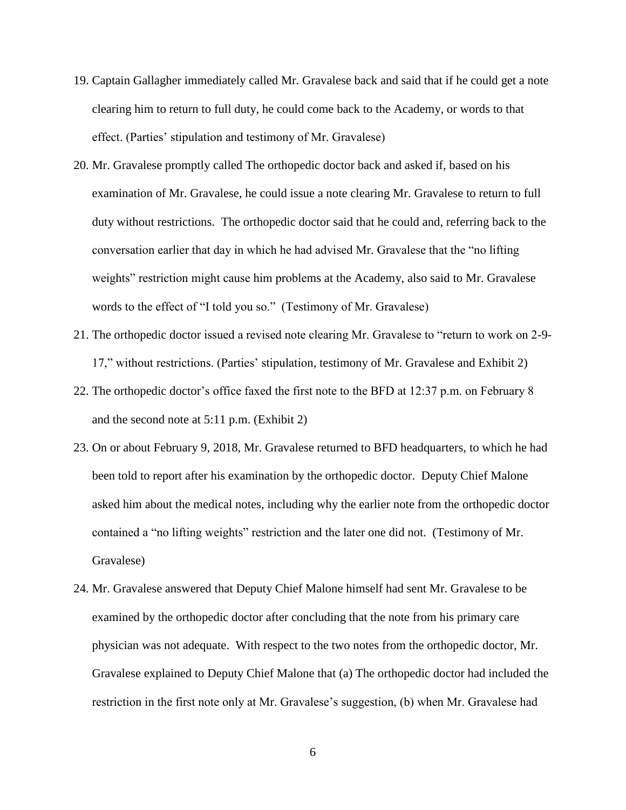- 19. Captain Gallagher immediately called Mr. Gravalese back and said that if he could get a note clearing him to return to full duty, he could come back to the Academy, or words to that effect. (Parties' stipulation and testimony of Mr. Gravalese)
- 20. Mr. Gravalese promptly called The orthopedic doctor back and asked if, based on his examination of Mr. Gravalese, he could issue a note clearing Mr. Gravalese to return to full duty without restrictions. The orthopedic doctor said that he could and, referring back to the conversation earlier that day in which he had advised Mr. Gravalese that the "no lifting weights" restriction might cause him problems at the Academy, also said to Mr. Gravalese words to the effect of "I told you so." (Testimony of Mr. Gravalese)
- 21. The orthopedic doctor issued a revised note clearing Mr. Gravalese to "return to work on 2-9- 17," without restrictions. (Parties' stipulation, testimony of Mr. Gravalese and Exhibit 2)
- 22. The orthopedic doctor's office faxed the first note to the BFD at 12:37 p.m. on February 8 and the second note at 5:11 p.m. (Exhibit 2)
- 23. On or about February 9, 2018, Mr. Gravalese returned to BFD headquarters, to which he had been told to report after his examination by the orthopedic doctor. Deputy Chief Malone asked him about the medical notes, including why the earlier note from the orthopedic doctor contained a "no lifting weights" restriction and the later one did not. (Testimony of Mr. Gravalese)
- 24. Mr. Gravalese answered that Deputy Chief Malone himself had sent Mr. Gravalese to be examined by the orthopedic doctor after concluding that the note from his primary care physician was not adequate. With respect to the two notes from the orthopedic doctor, Mr. Gravalese explained to Deputy Chief Malone that (a) The orthopedic doctor had included the restriction in the first note only at Mr. Gravalese's suggestion, (b) when Mr. Gravalese had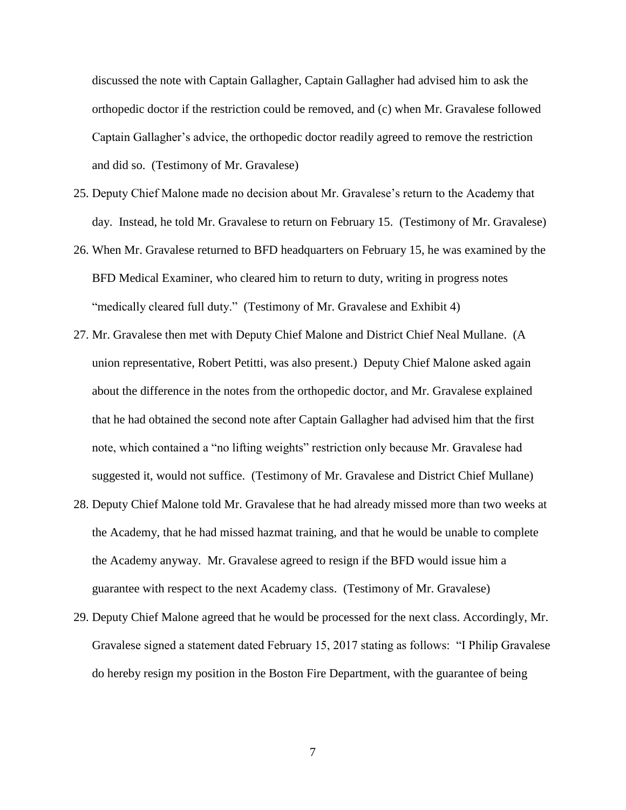discussed the note with Captain Gallagher, Captain Gallagher had advised him to ask the orthopedic doctor if the restriction could be removed, and (c) when Mr. Gravalese followed Captain Gallagher's advice, the orthopedic doctor readily agreed to remove the restriction and did so. (Testimony of Mr. Gravalese)

- 25. Deputy Chief Malone made no decision about Mr. Gravalese's return to the Academy that day. Instead, he told Mr. Gravalese to return on February 15. (Testimony of Mr. Gravalese)
- 26. When Mr. Gravalese returned to BFD headquarters on February 15, he was examined by the BFD Medical Examiner, who cleared him to return to duty, writing in progress notes "medically cleared full duty." (Testimony of Mr. Gravalese and Exhibit 4)
- 27. Mr. Gravalese then met with Deputy Chief Malone and District Chief Neal Mullane. (A union representative, Robert Petitti, was also present.) Deputy Chief Malone asked again about the difference in the notes from the orthopedic doctor, and Mr. Gravalese explained that he had obtained the second note after Captain Gallagher had advised him that the first note, which contained a "no lifting weights" restriction only because Mr. Gravalese had suggested it, would not suffice. (Testimony of Mr. Gravalese and District Chief Mullane)
- 28. Deputy Chief Malone told Mr. Gravalese that he had already missed more than two weeks at the Academy, that he had missed hazmat training, and that he would be unable to complete the Academy anyway. Mr. Gravalese agreed to resign if the BFD would issue him a guarantee with respect to the next Academy class. (Testimony of Mr. Gravalese)
- 29. Deputy Chief Malone agreed that he would be processed for the next class. Accordingly, Mr. Gravalese signed a statement dated February 15, 2017 stating as follows: "I Philip Gravalese do hereby resign my position in the Boston Fire Department, with the guarantee of being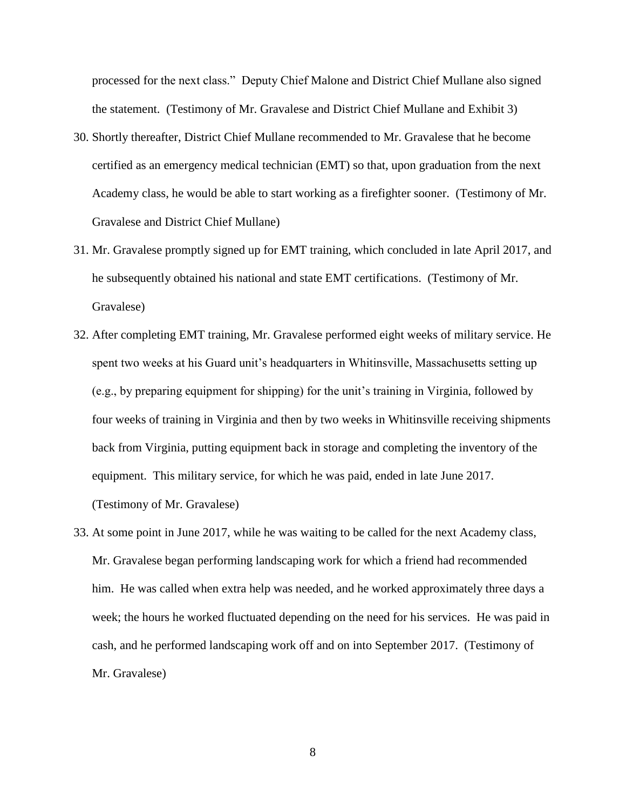processed for the next class." Deputy Chief Malone and District Chief Mullane also signed the statement. (Testimony of Mr. Gravalese and District Chief Mullane and Exhibit 3)

- 30. Shortly thereafter, District Chief Mullane recommended to Mr. Gravalese that he become certified as an emergency medical technician (EMT) so that, upon graduation from the next Academy class, he would be able to start working as a firefighter sooner. (Testimony of Mr. Gravalese and District Chief Mullane)
- 31. Mr. Gravalese promptly signed up for EMT training, which concluded in late April 2017, and he subsequently obtained his national and state EMT certifications. (Testimony of Mr. Gravalese)
- 32. After completing EMT training, Mr. Gravalese performed eight weeks of military service. He spent two weeks at his Guard unit's headquarters in Whitinsville, Massachusetts setting up (e.g., by preparing equipment for shipping) for the unit's training in Virginia, followed by four weeks of training in Virginia and then by two weeks in Whitinsville receiving shipments back from Virginia, putting equipment back in storage and completing the inventory of the equipment. This military service, for which he was paid, ended in late June 2017. (Testimony of Mr. Gravalese)
- 33. At some point in June 2017, while he was waiting to be called for the next Academy class, Mr. Gravalese began performing landscaping work for which a friend had recommended him. He was called when extra help was needed, and he worked approximately three days a week; the hours he worked fluctuated depending on the need for his services. He was paid in cash, and he performed landscaping work off and on into September 2017. (Testimony of Mr. Gravalese)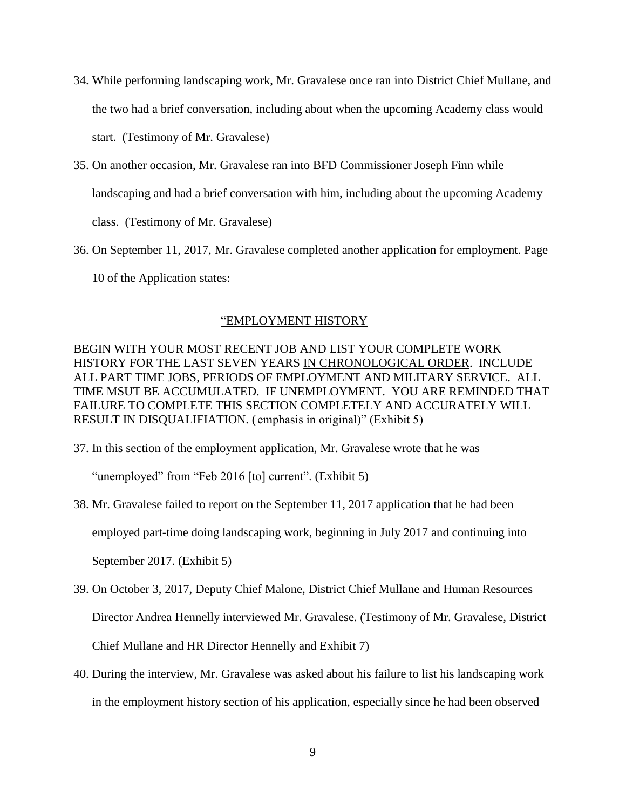- 34. While performing landscaping work, Mr. Gravalese once ran into District Chief Mullane, and the two had a brief conversation, including about when the upcoming Academy class would start. (Testimony of Mr. Gravalese)
- 35. On another occasion, Mr. Gravalese ran into BFD Commissioner Joseph Finn while landscaping and had a brief conversation with him, including about the upcoming Academy class. (Testimony of Mr. Gravalese)
- 36. On September 11, 2017, Mr. Gravalese completed another application for employment. Page 10 of the Application states:

#### "EMPLOYMENT HISTORY

BEGIN WITH YOUR MOST RECENT JOB AND LIST YOUR COMPLETE WORK HISTORY FOR THE LAST SEVEN YEARS IN CHRONOLOGICAL ORDER. INCLUDE ALL PART TIME JOBS, PERIODS OF EMPLOYMENT AND MILITARY SERVICE. ALL TIME MSUT BE ACCUMULATED. IF UNEMPLOYMENT. YOU ARE REMINDED THAT FAILURE TO COMPLETE THIS SECTION COMPLETELY AND ACCURATELY WILL RESULT IN DISQUALIFIATION. ( emphasis in original)" (Exhibit 5)

37. In this section of the employment application, Mr. Gravalese wrote that he was

"unemployed" from "Feb 2016 [to] current". (Exhibit 5)

- 38. Mr. Gravalese failed to report on the September 11, 2017 application that he had been employed part-time doing landscaping work, beginning in July 2017 and continuing into September 2017. (Exhibit 5)
- 39. On October 3, 2017, Deputy Chief Malone, District Chief Mullane and Human Resources Director Andrea Hennelly interviewed Mr. Gravalese. (Testimony of Mr. Gravalese, District Chief Mullane and HR Director Hennelly and Exhibit 7)
- 40. During the interview, Mr. Gravalese was asked about his failure to list his landscaping work in the employment history section of his application, especially since he had been observed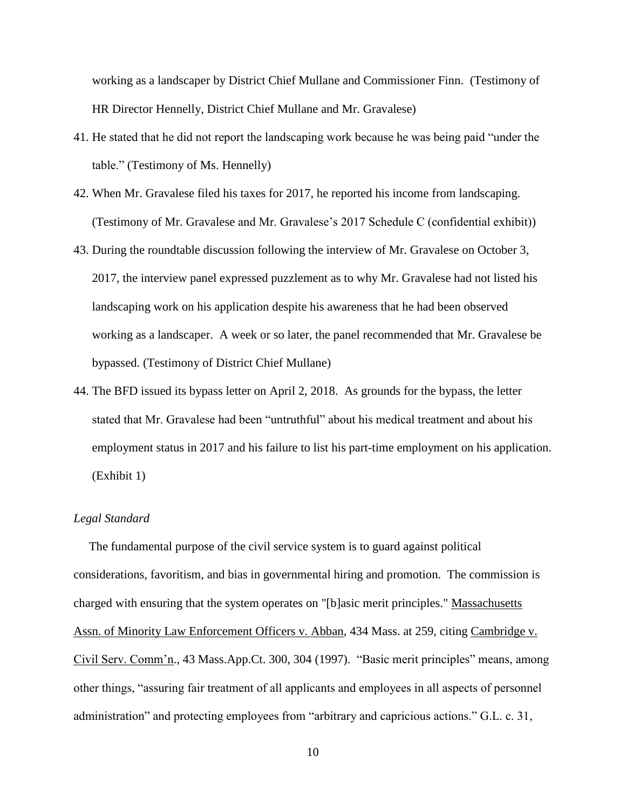working as a landscaper by District Chief Mullane and Commissioner Finn. (Testimony of HR Director Hennelly, District Chief Mullane and Mr. Gravalese)

- 41. He stated that he did not report the landscaping work because he was being paid "under the table." (Testimony of Ms. Hennelly)
- 42. When Mr. Gravalese filed his taxes for 2017, he reported his income from landscaping. (Testimony of Mr. Gravalese and Mr. Gravalese's 2017 Schedule C (confidential exhibit))
- 43. During the roundtable discussion following the interview of Mr. Gravalese on October 3, 2017, the interview panel expressed puzzlement as to why Mr. Gravalese had not listed his landscaping work on his application despite his awareness that he had been observed working as a landscaper. A week or so later, the panel recommended that Mr. Gravalese be bypassed. (Testimony of District Chief Mullane)
- 44. The BFD issued its bypass letter on April 2, 2018. As grounds for the bypass, the letter stated that Mr. Gravalese had been "untruthful" about his medical treatment and about his employment status in 2017 and his failure to list his part-time employment on his application. (Exhibit 1)

## *Legal Standard*

 The fundamental purpose of the civil service system is to guard against political considerations, favoritism, and bias in governmental hiring and promotion. The commission is charged with ensuring that the system operates on "[b]asic merit principles." Massachusetts Assn. of Minority Law Enforcement Officers v. Abban, 434 Mass. at 259, citing Cambridge v. Civil Serv. Comm'n., 43 Mass.App.Ct. 300, 304 (1997). "Basic merit principles" means, among other things, "assuring fair treatment of all applicants and employees in all aspects of personnel administration" and protecting employees from "arbitrary and capricious actions." G.L. c. 31,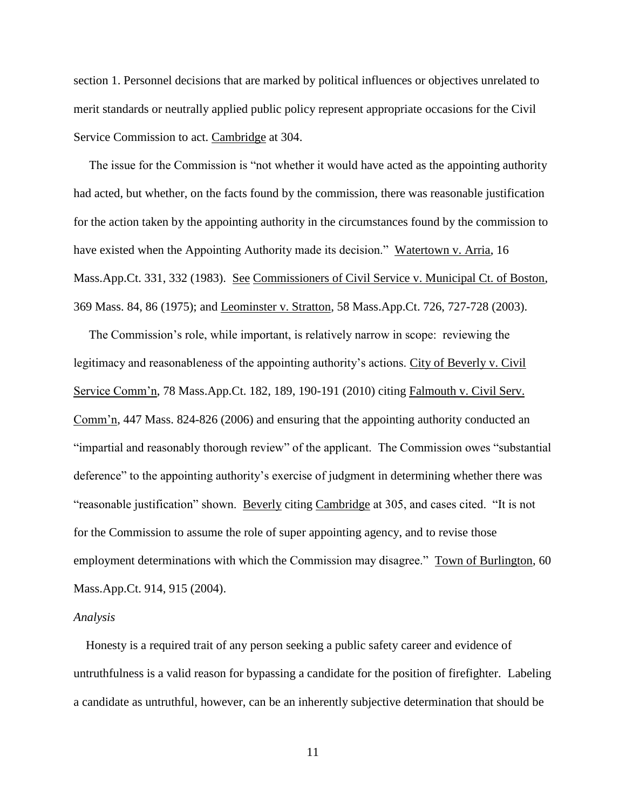section 1. Personnel decisions that are marked by political influences or objectives unrelated to merit standards or neutrally applied public policy represent appropriate occasions for the Civil Service Commission to act. Cambridge at 304.

 The issue for the Commission is "not whether it would have acted as the appointing authority had acted, but whether, on the facts found by the commission, there was reasonable justification for the action taken by the appointing authority in the circumstances found by the commission to have existed when the Appointing Authority made its decision." Watertown v. Arria, 16 Mass.App.Ct. 331, 332 (1983). See Commissioners of Civil Service v. Municipal Ct. of Boston, 369 Mass. 84, 86 (1975); and Leominster v. Stratton, 58 Mass.App.Ct. 726, 727-728 (2003).

 The Commission's role, while important, is relatively narrow in scope: reviewing the legitimacy and reasonableness of the appointing authority's actions. City of Beverly v. Civil Service Comm'n, 78 Mass.App.Ct. 182, 189, 190-191 (2010) citing Falmouth v. Civil Serv. Comm'n, 447 Mass. 824-826 (2006) and ensuring that the appointing authority conducted an "impartial and reasonably thorough review" of the applicant. The Commission owes "substantial deference" to the appointing authority's exercise of judgment in determining whether there was "reasonable justification" shown. Beverly citing Cambridge at 305, and cases cited. "It is not for the Commission to assume the role of super appointing agency, and to revise those employment determinations with which the Commission may disagree." Town of Burlington, 60 Mass.App.Ct. 914, 915 (2004).

#### *Analysis*

 Honesty is a required trait of any person seeking a public safety career and evidence of untruthfulness is a valid reason for bypassing a candidate for the position of firefighter. Labeling a candidate as untruthful, however, can be an inherently subjective determination that should be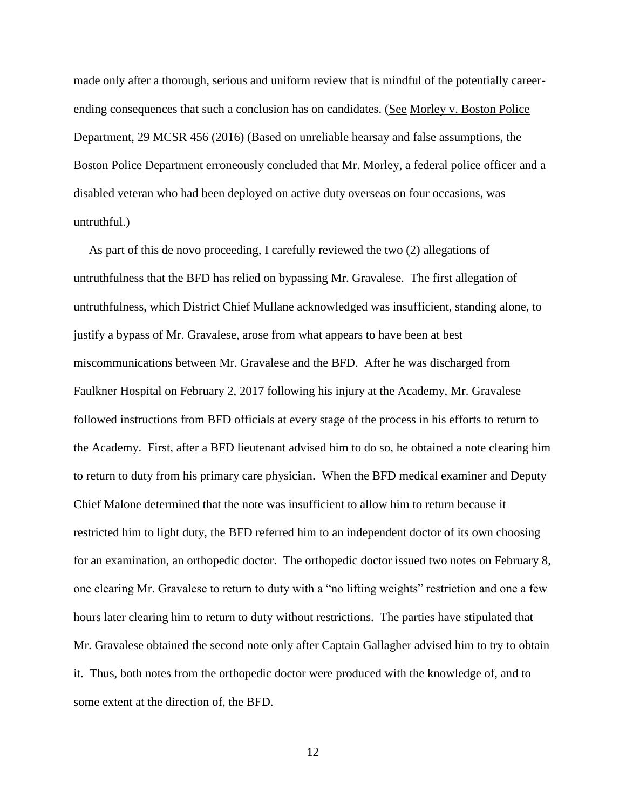made only after a thorough, serious and uniform review that is mindful of the potentially careerending consequences that such a conclusion has on candidates. (See Morley v. Boston Police Department, 29 MCSR 456 (2016) (Based on unreliable hearsay and false assumptions, the Boston Police Department erroneously concluded that Mr. Morley, a federal police officer and a disabled veteran who had been deployed on active duty overseas on four occasions, was untruthful.)

 As part of this de novo proceeding, I carefully reviewed the two (2) allegations of untruthfulness that the BFD has relied on bypassing Mr. Gravalese. The first allegation of untruthfulness, which District Chief Mullane acknowledged was insufficient, standing alone, to justify a bypass of Mr. Gravalese, arose from what appears to have been at best miscommunications between Mr. Gravalese and the BFD. After he was discharged from Faulkner Hospital on February 2, 2017 following his injury at the Academy, Mr. Gravalese followed instructions from BFD officials at every stage of the process in his efforts to return to the Academy. First, after a BFD lieutenant advised him to do so, he obtained a note clearing him to return to duty from his primary care physician. When the BFD medical examiner and Deputy Chief Malone determined that the note was insufficient to allow him to return because it restricted him to light duty, the BFD referred him to an independent doctor of its own choosing for an examination, an orthopedic doctor. The orthopedic doctor issued two notes on February 8, one clearing Mr. Gravalese to return to duty with a "no lifting weights" restriction and one a few hours later clearing him to return to duty without restrictions. The parties have stipulated that Mr. Gravalese obtained the second note only after Captain Gallagher advised him to try to obtain it. Thus, both notes from the orthopedic doctor were produced with the knowledge of, and to some extent at the direction of, the BFD.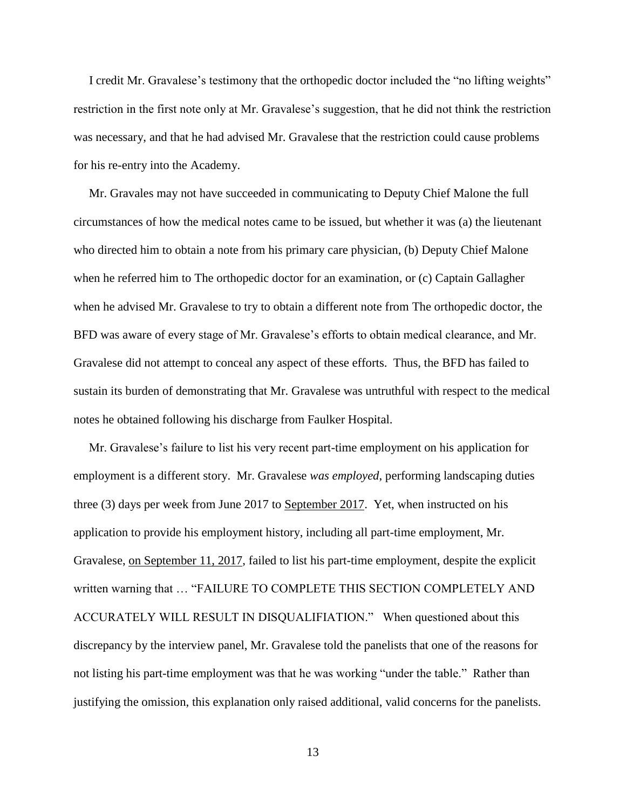I credit Mr. Gravalese's testimony that the orthopedic doctor included the "no lifting weights" restriction in the first note only at Mr. Gravalese's suggestion, that he did not think the restriction was necessary, and that he had advised Mr. Gravalese that the restriction could cause problems for his re-entry into the Academy.

 Mr. Gravales may not have succeeded in communicating to Deputy Chief Malone the full circumstances of how the medical notes came to be issued, but whether it was (a) the lieutenant who directed him to obtain a note from his primary care physician, (b) Deputy Chief Malone when he referred him to The orthopedic doctor for an examination, or (c) Captain Gallagher when he advised Mr. Gravalese to try to obtain a different note from The orthopedic doctor, the BFD was aware of every stage of Mr. Gravalese's efforts to obtain medical clearance, and Mr. Gravalese did not attempt to conceal any aspect of these efforts. Thus, the BFD has failed to sustain its burden of demonstrating that Mr. Gravalese was untruthful with respect to the medical notes he obtained following his discharge from Faulker Hospital.

 Mr. Gravalese's failure to list his very recent part-time employment on his application for employment is a different story. Mr. Gravalese *was employed*, performing landscaping duties three (3) days per week from June 2017 to September 2017. Yet, when instructed on his application to provide his employment history, including all part-time employment, Mr. Gravalese, on September 11, 2017, failed to list his part-time employment, despite the explicit written warning that … "FAILURE TO COMPLETE THIS SECTION COMPLETELY AND ACCURATELY WILL RESULT IN DISQUALIFIATION." When questioned about this discrepancy by the interview panel, Mr. Gravalese told the panelists that one of the reasons for not listing his part-time employment was that he was working "under the table." Rather than justifying the omission, this explanation only raised additional, valid concerns for the panelists.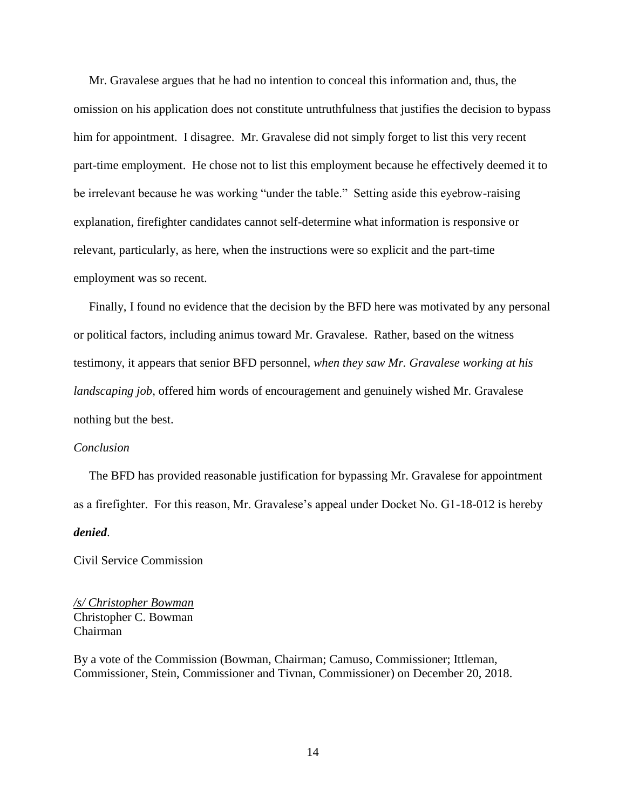Mr. Gravalese argues that he had no intention to conceal this information and, thus, the omission on his application does not constitute untruthfulness that justifies the decision to bypass him for appointment. I disagree. Mr. Gravalese did not simply forget to list this very recent part-time employment. He chose not to list this employment because he effectively deemed it to be irrelevant because he was working "under the table." Setting aside this eyebrow-raising explanation, firefighter candidates cannot self-determine what information is responsive or relevant, particularly, as here, when the instructions were so explicit and the part-time employment was so recent.

 Finally, I found no evidence that the decision by the BFD here was motivated by any personal or political factors, including animus toward Mr. Gravalese. Rather, based on the witness testimony, it appears that senior BFD personnel, *when they saw Mr. Gravalese working at his landscaping job*, offered him words of encouragement and genuinely wished Mr. Gravalese nothing but the best.

#### *Conclusion*

 The BFD has provided reasonable justification for bypassing Mr. Gravalese for appointment as a firefighter. For this reason, Mr. Gravalese's appeal under Docket No. G1-18-012 is hereby *denied*.

Civil Service Commission

*/s/ Christopher Bowman* Christopher C. Bowman Chairman

By a vote of the Commission (Bowman, Chairman; Camuso, Commissioner; Ittleman, Commissioner, Stein, Commissioner and Tivnan, Commissioner) on December 20, 2018.